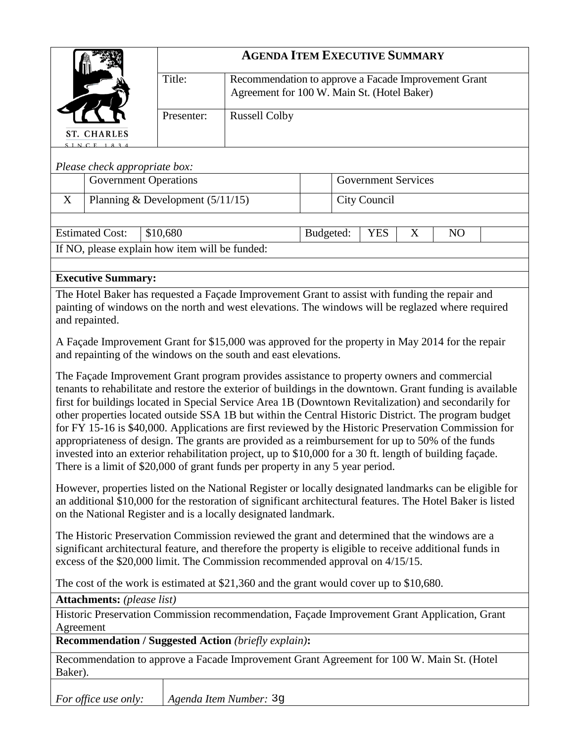|                                                                                                                                                                                                                                                                                                                                                                                                                                                                                                                                                                                                                                                                                                                                                                                                                                    |                                                | <b>AGENDA ITEM EXECUTIVE SUMMARY</b> |                                                                                                                                                                     |              |  |            |   |                |  |
|------------------------------------------------------------------------------------------------------------------------------------------------------------------------------------------------------------------------------------------------------------------------------------------------------------------------------------------------------------------------------------------------------------------------------------------------------------------------------------------------------------------------------------------------------------------------------------------------------------------------------------------------------------------------------------------------------------------------------------------------------------------------------------------------------------------------------------|------------------------------------------------|--------------------------------------|---------------------------------------------------------------------------------------------------------------------------------------------------------------------|--------------|--|------------|---|----------------|--|
|                                                                                                                                                                                                                                                                                                                                                                                                                                                                                                                                                                                                                                                                                                                                                                                                                                    |                                                | Title:                               | Recommendation to approve a Facade Improvement Grant<br>Agreement for 100 W. Main St. (Hotel Baker)                                                                 |              |  |            |   |                |  |
|                                                                                                                                                                                                                                                                                                                                                                                                                                                                                                                                                                                                                                                                                                                                                                                                                                    |                                                | Presenter:                           | <b>Russell Colby</b>                                                                                                                                                |              |  |            |   |                |  |
| <b>ST. CHARLES</b><br>SINCE 1834                                                                                                                                                                                                                                                                                                                                                                                                                                                                                                                                                                                                                                                                                                                                                                                                   |                                                |                                      |                                                                                                                                                                     |              |  |            |   |                |  |
|                                                                                                                                                                                                                                                                                                                                                                                                                                                                                                                                                                                                                                                                                                                                                                                                                                    |                                                |                                      |                                                                                                                                                                     |              |  |            |   |                |  |
| Please check appropriate box:<br><b>Government Operations</b>                                                                                                                                                                                                                                                                                                                                                                                                                                                                                                                                                                                                                                                                                                                                                                      |                                                | <b>Government Services</b>           |                                                                                                                                                                     |              |  |            |   |                |  |
| X                                                                                                                                                                                                                                                                                                                                                                                                                                                                                                                                                                                                                                                                                                                                                                                                                                  |                                                |                                      |                                                                                                                                                                     | City Council |  |            |   |                |  |
|                                                                                                                                                                                                                                                                                                                                                                                                                                                                                                                                                                                                                                                                                                                                                                                                                                    | Planning & Development $(5/11/15)$             |                                      |                                                                                                                                                                     |              |  |            |   |                |  |
|                                                                                                                                                                                                                                                                                                                                                                                                                                                                                                                                                                                                                                                                                                                                                                                                                                    | <b>Estimated Cost:</b>                         | \$10,680                             |                                                                                                                                                                     | Budgeted:    |  | <b>YES</b> | X | N <sub>O</sub> |  |
|                                                                                                                                                                                                                                                                                                                                                                                                                                                                                                                                                                                                                                                                                                                                                                                                                                    | If NO, please explain how item will be funded: |                                      |                                                                                                                                                                     |              |  |            |   |                |  |
|                                                                                                                                                                                                                                                                                                                                                                                                                                                                                                                                                                                                                                                                                                                                                                                                                                    |                                                |                                      |                                                                                                                                                                     |              |  |            |   |                |  |
|                                                                                                                                                                                                                                                                                                                                                                                                                                                                                                                                                                                                                                                                                                                                                                                                                                    | <b>Executive Summary:</b>                      |                                      |                                                                                                                                                                     |              |  |            |   |                |  |
| The Hotel Baker has requested a Façade Improvement Grant to assist with funding the repair and<br>painting of windows on the north and west elevations. The windows will be reglazed where required<br>and repainted.                                                                                                                                                                                                                                                                                                                                                                                                                                                                                                                                                                                                              |                                                |                                      |                                                                                                                                                                     |              |  |            |   |                |  |
|                                                                                                                                                                                                                                                                                                                                                                                                                                                                                                                                                                                                                                                                                                                                                                                                                                    |                                                |                                      |                                                                                                                                                                     |              |  |            |   |                |  |
|                                                                                                                                                                                                                                                                                                                                                                                                                                                                                                                                                                                                                                                                                                                                                                                                                                    |                                                |                                      | A Façade Improvement Grant for \$15,000 was approved for the property in May 2014 for the repair<br>and repainting of the windows on the south and east elevations. |              |  |            |   |                |  |
| The Façade Improvement Grant program provides assistance to property owners and commercial<br>tenants to rehabilitate and restore the exterior of buildings in the downtown. Grant funding is available<br>first for buildings located in Special Service Area 1B (Downtown Revitalization) and secondarily for<br>other properties located outside SSA 1B but within the Central Historic District. The program budget<br>for FY 15-16 is \$40,000. Applications are first reviewed by the Historic Preservation Commission for<br>appropriateness of design. The grants are provided as a reimbursement for up to 50% of the funds<br>invested into an exterior rehabilitation project, up to \$10,000 for a 30 ft. length of building façade.<br>There is a limit of \$20,000 of grant funds per property in any 5 year period. |                                                |                                      |                                                                                                                                                                     |              |  |            |   |                |  |
| However, properties listed on the National Register or locally designated landmarks can be eligible for<br>an additional \$10,000 for the restoration of significant architectural features. The Hotel Baker is listed<br>on the National Register and is a locally designated landmark.                                                                                                                                                                                                                                                                                                                                                                                                                                                                                                                                           |                                                |                                      |                                                                                                                                                                     |              |  |            |   |                |  |
| The Historic Preservation Commission reviewed the grant and determined that the windows are a<br>significant architectural feature, and therefore the property is eligible to receive additional funds in<br>excess of the \$20,000 limit. The Commission recommended approval on 4/15/15.                                                                                                                                                                                                                                                                                                                                                                                                                                                                                                                                         |                                                |                                      |                                                                                                                                                                     |              |  |            |   |                |  |
| The cost of the work is estimated at $$21,360$ and the grant would cover up to $$10,680$ .                                                                                                                                                                                                                                                                                                                                                                                                                                                                                                                                                                                                                                                                                                                                         |                                                |                                      |                                                                                                                                                                     |              |  |            |   |                |  |
| <b>Attachments:</b> (please list)                                                                                                                                                                                                                                                                                                                                                                                                                                                                                                                                                                                                                                                                                                                                                                                                  |                                                |                                      |                                                                                                                                                                     |              |  |            |   |                |  |
| Historic Preservation Commission recommendation, Façade Improvement Grant Application, Grant<br>Agreement                                                                                                                                                                                                                                                                                                                                                                                                                                                                                                                                                                                                                                                                                                                          |                                                |                                      |                                                                                                                                                                     |              |  |            |   |                |  |
| <b>Recommendation / Suggested Action (briefly explain):</b>                                                                                                                                                                                                                                                                                                                                                                                                                                                                                                                                                                                                                                                                                                                                                                        |                                                |                                      |                                                                                                                                                                     |              |  |            |   |                |  |
| Recommendation to approve a Facade Improvement Grant Agreement for 100 W. Main St. (Hotel<br>Baker).                                                                                                                                                                                                                                                                                                                                                                                                                                                                                                                                                                                                                                                                                                                               |                                                |                                      |                                                                                                                                                                     |              |  |            |   |                |  |
|                                                                                                                                                                                                                                                                                                                                                                                                                                                                                                                                                                                                                                                                                                                                                                                                                                    | For office use only:                           |                                      | Agenda Item Number: 39                                                                                                                                              |              |  |            |   |                |  |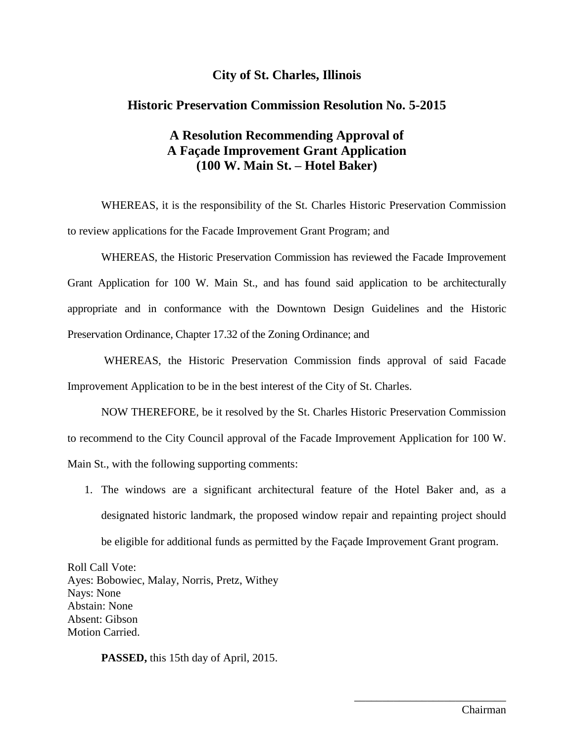## **City of St. Charles, Illinois**

#### **Historic Preservation Commission Resolution No. 5-2015**

# **A Resolution Recommending Approval of A Façade Improvement Grant Application (100 W. Main St. – Hotel Baker)**

WHEREAS, it is the responsibility of the St. Charles Historic Preservation Commission to review applications for the Facade Improvement Grant Program; and

WHEREAS, the Historic Preservation Commission has reviewed the Facade Improvement Grant Application for 100 W. Main St., and has found said application to be architecturally appropriate and in conformance with the Downtown Design Guidelines and the Historic Preservation Ordinance, Chapter 17.32 of the Zoning Ordinance; and

WHEREAS, the Historic Preservation Commission finds approval of said Facade Improvement Application to be in the best interest of the City of St. Charles.

NOW THEREFORE, be it resolved by the St. Charles Historic Preservation Commission to recommend to the City Council approval of the Facade Improvement Application for 100 W. Main St., with the following supporting comments:

1. The windows are a significant architectural feature of the Hotel Baker and, as a designated historic landmark, the proposed window repair and repainting project should be eligible for additional funds as permitted by the Façade Improvement Grant program.

Roll Call Vote: Ayes: Bobowiec, Malay, Norris, Pretz, Withey Nays: None Abstain: None Absent: Gibson Motion Carried.

**PASSED,** this 15th day of April, 2015.

\_\_\_\_\_\_\_\_\_\_\_\_\_\_\_\_\_\_\_\_\_\_\_\_\_\_\_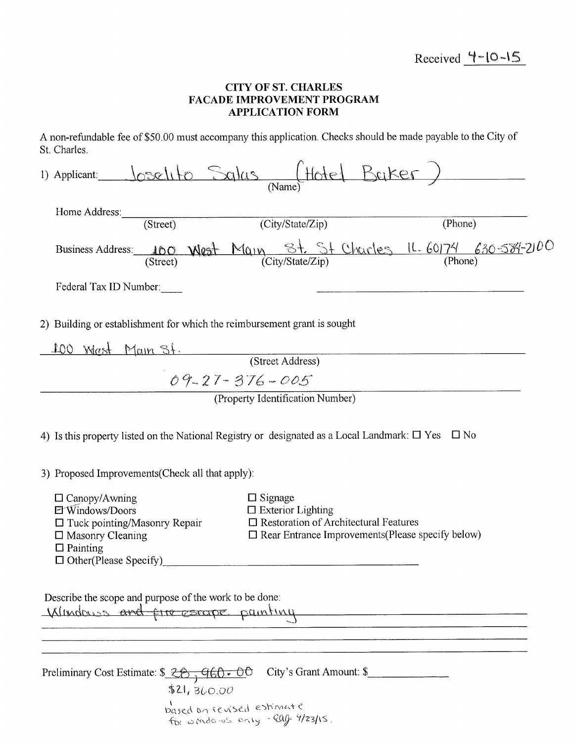### **CITY OF ST. CHARLES** FACADE IMPROVEMENT PROGRAM **APPLICATION FORM**

A non-refundable fee of \$50.00 must accompany this application. Checks should be made payable to the City of St. Charles.

| 1) Applicant Joselito Salas (Hotel Buker)                                                                                            |                                                                                                                                       |         |
|--------------------------------------------------------------------------------------------------------------------------------------|---------------------------------------------------------------------------------------------------------------------------------------|---------|
| Home Address: (Street) (City/State/Zip)                                                                                              |                                                                                                                                       | (Phone) |
| Business Address: 100 West Main $8t$ St Charles 11.60174 630-584-2100                                                                |                                                                                                                                       |         |
| Federal Tax ID Number:                                                                                                               |                                                                                                                                       |         |
| 2) Building or establishment for which the reimbursement grant is sought                                                             |                                                                                                                                       |         |
| 100 Wrest Main St. (Street Address)                                                                                                  |                                                                                                                                       |         |
|                                                                                                                                      |                                                                                                                                       |         |
|                                                                                                                                      | $09 - 27 - 376 - 005$                                                                                                                 |         |
|                                                                                                                                      | (Property Identification Number)                                                                                                      |         |
| 3) Proposed Improvements (Check all that apply):<br>$\Box$ Canopy/Awning                                                             | $\Box$ Signage                                                                                                                        |         |
| 日 Windows/Doors<br>$\Box$ Tuck pointing/Masonry Repair<br>$\Box$ Masonry Cleaning<br>$\Box$ Painting<br>$\Box$ Other(Please Specify) | $\square$ Exterior Lighting<br>□ Restoration of Architectural Features<br>$\square$ Rear Entrance Improvements (Please specify below) |         |
| Describe the scope and purpose of the work to be done:<br>Windows and fire escape painting                                           |                                                                                                                                       |         |
| Preliminary Cost Estimate: $\frac{26}{100}$ , $\frac{60}{100}$<br>\$21,360.00<br>based on revised estimate                           | City's Grant Amount: \$                                                                                                               |         |
|                                                                                                                                      | For windows any -eag 9/23/15.                                                                                                         |         |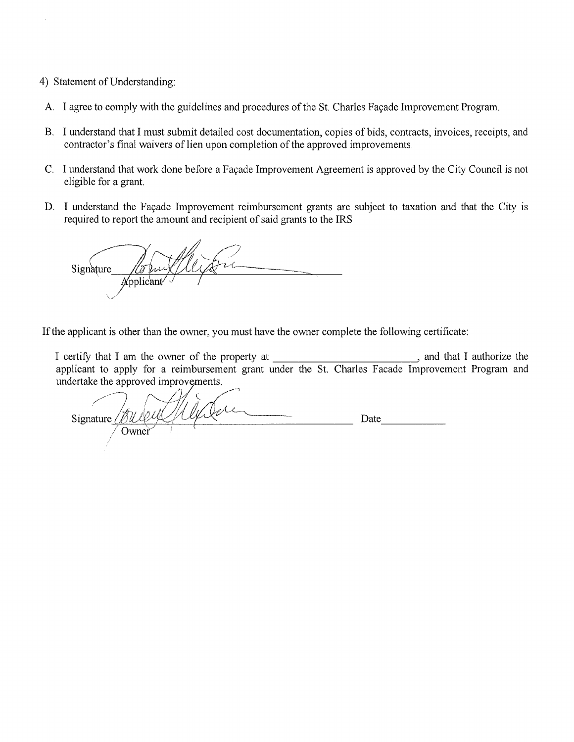#### 4) Statement of Understanding:

- A. I agree to comply with the guidelines and procedures of the St. Charles Façade Improvement Program.
- B. I understand that I must submit detailed cost documentation, copies of bids, contracts, invoices, receipts, and contractor's final waivers of lien upon completion of the approved improvements.
- C. I understand that work done before a Façade Improvement Agreement is approved by the City Council is not eligible for a grant.
- D. I understand the Façade Improvement reimbursement grants are subject to taxation and that the City is required to report the amount and recipient of said grants to the IRS

Signature Applicant

If the applicant is other than the owner, you must have the owner complete the following certificate:

undertake the approved improvements.

Signature  $\angle$ Date Owner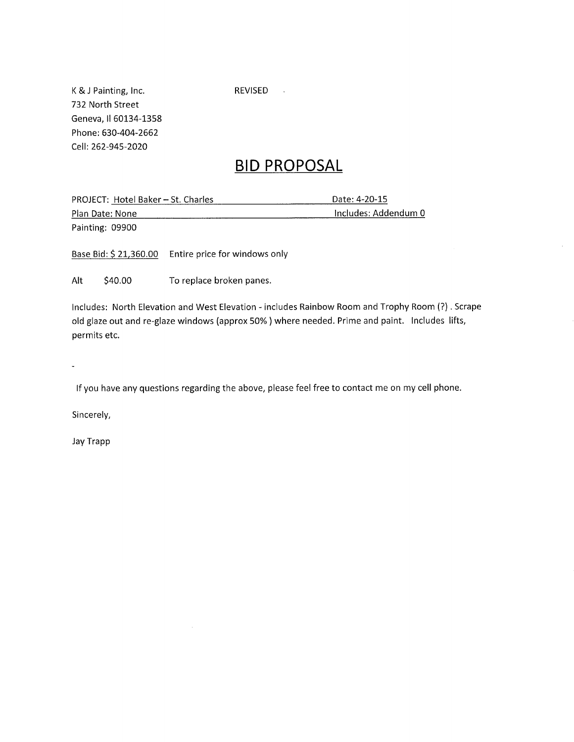K & J Painting, Inc. 732 North Street Geneva, Il 60134-1358 Phone: 630-404-2662 Cell: 262-945-2020

REVISED .

# **BID PROPOSAL**

Date: 4-20-15 PROJECT: Hotel Baker - St. Charles Includes: Addendum 0 Plan Date: None Painting: 09900

Base Bid: \$21,360.00 Entire price for windows only

Alt \$40.00 To replace broken panes.

Includes: North Elevation and West Elevation - includes Rainbow Room and Trophy Room (?). Scrape old glaze out and re-glaze windows (approx 50%) where needed. Prime and paint. Includes lifts, permits etc.

If you have any questions regarding the above, please feel free to contact me on my cell phone.

Sincerely,

Jay Trapp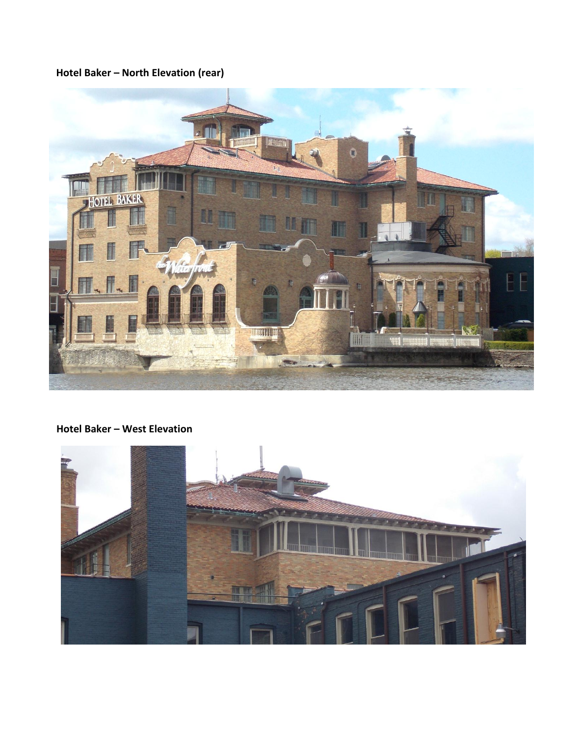# **Hotel Baker – North Elevation (rear)**



# **Hotel Baker – West Elevation**

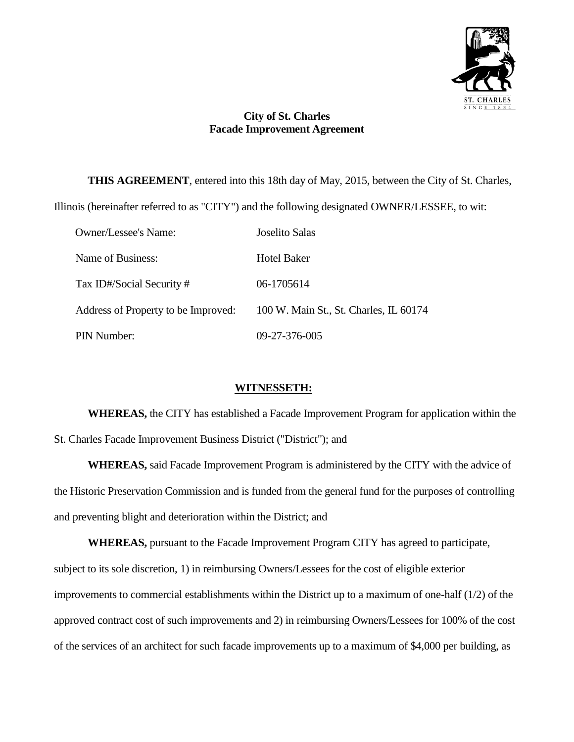

# **City of St. Charles Facade Improvement Agreement**

**THIS AGREEMENT**, entered into this 18th day of May, 2015, between the City of St. Charles,

Illinois (hereinafter referred to as "CITY") and the following designated OWNER/LESSEE, to wit:

| <b>Owner/Lessee's Name:</b>         | Joselito Salas                         |
|-------------------------------------|----------------------------------------|
| Name of Business:                   | Hotel Baker                            |
| Tax ID#/Social Security #           | 06-1705614                             |
| Address of Property to be Improved: | 100 W. Main St., St. Charles, IL 60174 |
| PIN Number:                         | 09-27-376-005                          |

## **WITNESSETH:**

**WHEREAS,** the CITY has established a Facade Improvement Program for application within the St. Charles Facade Improvement Business District ("District"); and

**WHEREAS,** said Facade Improvement Program is administered by the CITY with the advice of the Historic Preservation Commission and is funded from the general fund for the purposes of controlling and preventing blight and deterioration within the District; and

**WHEREAS,** pursuant to the Facade Improvement Program CITY has agreed to participate, subject to its sole discretion, 1) in reimbursing Owners/Lessees for the cost of eligible exterior improvements to commercial establishments within the District up to a maximum of one-half (1/2) of the approved contract cost of such improvements and 2) in reimbursing Owners/Lessees for 100% of the cost of the services of an architect for such facade improvements up to a maximum of \$4,000 per building, as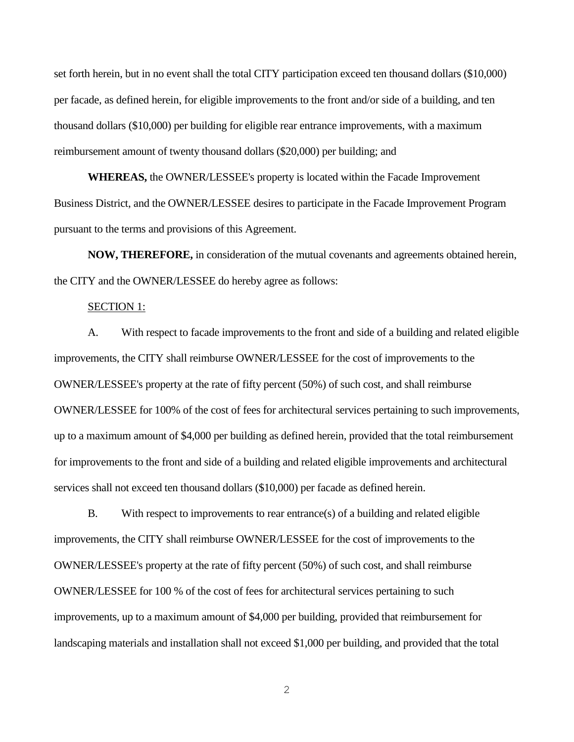set forth herein, but in no event shall the total CITY participation exceed ten thousand dollars (\$10,000) per facade, as defined herein, for eligible improvements to the front and/or side of a building, and ten thousand dollars (\$10,000) per building for eligible rear entrance improvements, with a maximum reimbursement amount of twenty thousand dollars (\$20,000) per building; and

**WHEREAS,** the OWNER/LESSEE's property is located within the Facade Improvement Business District, and the OWNER/LESSEE desires to participate in the Facade Improvement Program pursuant to the terms and provisions of this Agreement.

**NOW, THEREFORE,** in consideration of the mutual covenants and agreements obtained herein, the CITY and the OWNER/LESSEE do hereby agree as follows:

#### SECTION 1:

A. With respect to facade improvements to the front and side of a building and related eligible improvements, the CITY shall reimburse OWNER/LESSEE for the cost of improvements to the OWNER/LESSEE's property at the rate of fifty percent (50%) of such cost, and shall reimburse OWNER/LESSEE for 100% of the cost of fees for architectural services pertaining to such improvements, up to a maximum amount of \$4,000 per building as defined herein, provided that the total reimbursement for improvements to the front and side of a building and related eligible improvements and architectural services shall not exceed ten thousand dollars (\$10,000) per facade as defined herein.

B. With respect to improvements to rear entrance(s) of a building and related eligible improvements, the CITY shall reimburse OWNER/LESSEE for the cost of improvements to the OWNER/LESSEE's property at the rate of fifty percent (50%) of such cost, and shall reimburse OWNER/LESSEE for 100 % of the cost of fees for architectural services pertaining to such improvements, up to a maximum amount of \$4,000 per building, provided that reimbursement for landscaping materials and installation shall not exceed \$1,000 per building, and provided that the total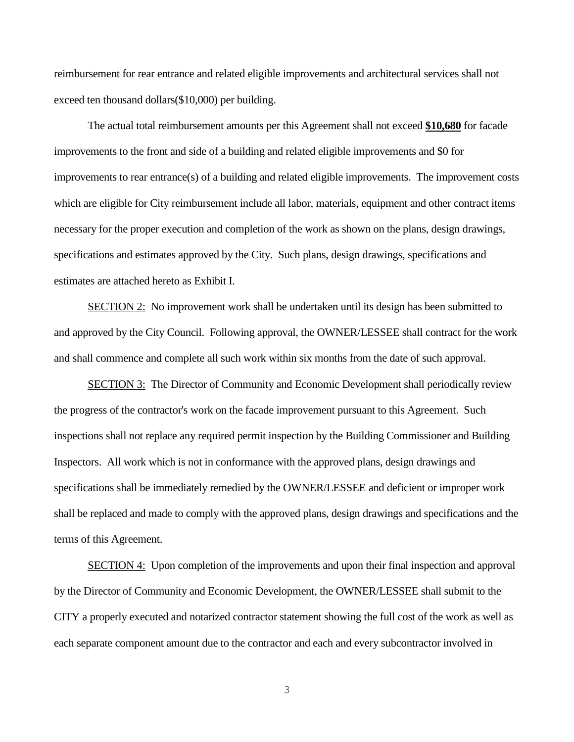reimbursement for rear entrance and related eligible improvements and architectural services shall not exceed ten thousand dollars(\$10,000) per building.

The actual total reimbursement amounts per this Agreement shall not exceed **\$10,680** for facade improvements to the front and side of a building and related eligible improvements and \$0 for improvements to rear entrance(s) of a building and related eligible improvements. The improvement costs which are eligible for City reimbursement include all labor, materials, equipment and other contract items necessary for the proper execution and completion of the work as shown on the plans, design drawings, specifications and estimates approved by the City. Such plans, design drawings, specifications and estimates are attached hereto as Exhibit I.

SECTION 2: No improvement work shall be undertaken until its design has been submitted to and approved by the City Council. Following approval, the OWNER/LESSEE shall contract for the work and shall commence and complete all such work within six months from the date of such approval.

SECTION 3: The Director of Community and Economic Development shall periodically review the progress of the contractor's work on the facade improvement pursuant to this Agreement. Such inspections shall not replace any required permit inspection by the Building Commissioner and Building Inspectors. All work which is not in conformance with the approved plans, design drawings and specifications shall be immediately remedied by the OWNER/LESSEE and deficient or improper work shall be replaced and made to comply with the approved plans, design drawings and specifications and the terms of this Agreement.

SECTION 4: Upon completion of the improvements and upon their final inspection and approval by the Director of Community and Economic Development, the OWNER/LESSEE shall submit to the CITY a properly executed and notarized contractor statement showing the full cost of the work as well as each separate component amount due to the contractor and each and every subcontractor involved in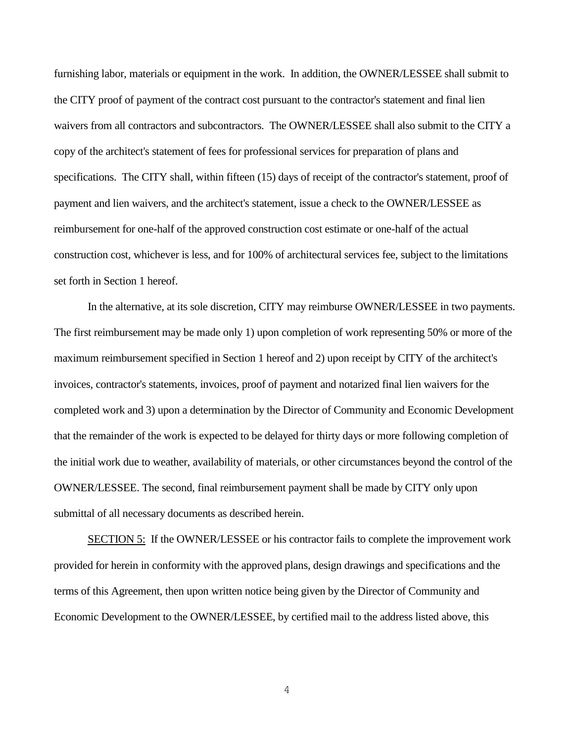furnishing labor, materials or equipment in the work. In addition, the OWNER/LESSEE shall submit to the CITY proof of payment of the contract cost pursuant to the contractor's statement and final lien waivers from all contractors and subcontractors. The OWNER/LESSEE shall also submit to the CITY a copy of the architect's statement of fees for professional services for preparation of plans and specifications. The CITY shall, within fifteen (15) days of receipt of the contractor's statement, proof of payment and lien waivers, and the architect's statement, issue a check to the OWNER/LESSEE as reimbursement for one-half of the approved construction cost estimate or one-half of the actual construction cost, whichever is less, and for 100% of architectural services fee, subject to the limitations set forth in Section 1 hereof.

In the alternative, at its sole discretion, CITY may reimburse OWNER/LESSEE in two payments. The first reimbursement may be made only 1) upon completion of work representing 50% or more of the maximum reimbursement specified in Section 1 hereof and 2) upon receipt by CITY of the architect's invoices, contractor's statements, invoices, proof of payment and notarized final lien waivers for the completed work and 3) upon a determination by the Director of Community and Economic Development that the remainder of the work is expected to be delayed for thirty days or more following completion of the initial work due to weather, availability of materials, or other circumstances beyond the control of the OWNER/LESSEE. The second, final reimbursement payment shall be made by CITY only upon submittal of all necessary documents as described herein.

SECTION 5: If the OWNER/LESSEE or his contractor fails to complete the improvement work provided for herein in conformity with the approved plans, design drawings and specifications and the terms of this Agreement, then upon written notice being given by the Director of Community and Economic Development to the OWNER/LESSEE, by certified mail to the address listed above, this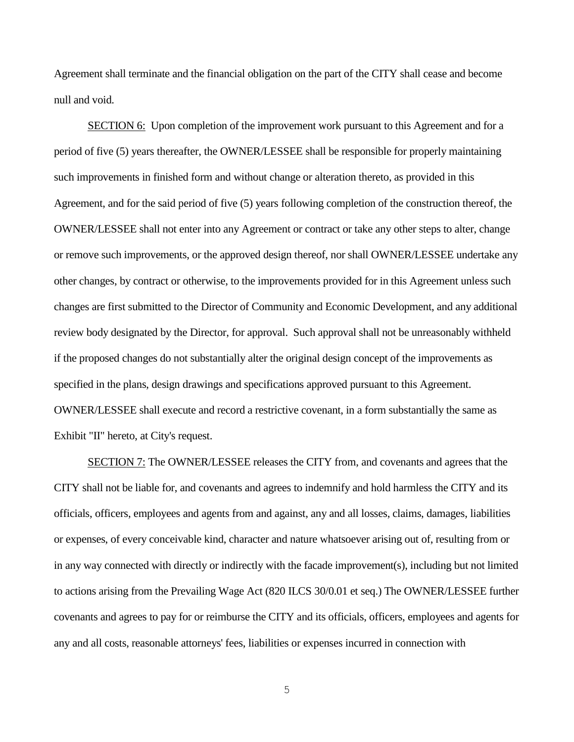Agreement shall terminate and the financial obligation on the part of the CITY shall cease and become null and void.

SECTION 6: Upon completion of the improvement work pursuant to this Agreement and for a period of five (5) years thereafter, the OWNER/LESSEE shall be responsible for properly maintaining such improvements in finished form and without change or alteration thereto, as provided in this Agreement, and for the said period of five (5) years following completion of the construction thereof, the OWNER/LESSEE shall not enter into any Agreement or contract or take any other steps to alter, change or remove such improvements, or the approved design thereof, nor shall OWNER/LESSEE undertake any other changes, by contract or otherwise, to the improvements provided for in this Agreement unless such changes are first submitted to the Director of Community and Economic Development, and any additional review body designated by the Director, for approval. Such approval shall not be unreasonably withheld if the proposed changes do not substantially alter the original design concept of the improvements as specified in the plans, design drawings and specifications approved pursuant to this Agreement. OWNER/LESSEE shall execute and record a restrictive covenant, in a form substantially the same as Exhibit "II" hereto, at City's request.

SECTION 7: The OWNER/LESSEE releases the CITY from, and covenants and agrees that the CITY shall not be liable for, and covenants and agrees to indemnify and hold harmless the CITY and its officials, officers, employees and agents from and against, any and all losses, claims, damages, liabilities or expenses, of every conceivable kind, character and nature whatsoever arising out of, resulting from or in any way connected with directly or indirectly with the facade improvement(s), including but not limited to actions arising from the Prevailing Wage Act (820 ILCS 30/0.01 et seq.) The OWNER/LESSEE further covenants and agrees to pay for or reimburse the CITY and its officials, officers, employees and agents for any and all costs, reasonable attorneys' fees, liabilities or expenses incurred in connection with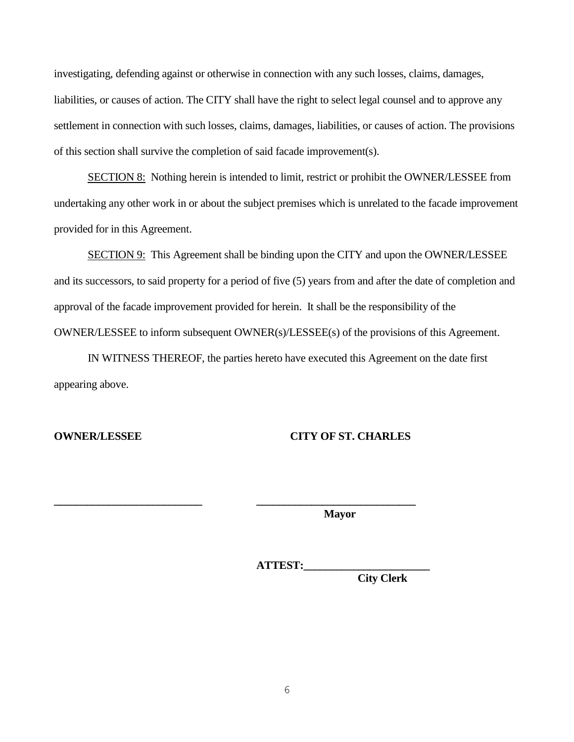investigating, defending against or otherwise in connection with any such losses, claims, damages, liabilities, or causes of action. The CITY shall have the right to select legal counsel and to approve any settlement in connection with such losses, claims, damages, liabilities, or causes of action. The provisions of this section shall survive the completion of said facade improvement(s).

SECTION 8: Nothing herein is intended to limit, restrict or prohibit the OWNER/LESSEE from undertaking any other work in or about the subject premises which is unrelated to the facade improvement provided for in this Agreement.

SECTION 9: This Agreement shall be binding upon the CITY and upon the OWNER/LESSEE and its successors, to said property for a period of five (5) years from and after the date of completion and approval of the facade improvement provided for herein. It shall be the responsibility of the OWNER/LESSEE to inform subsequent OWNER(s)/LESSEE(s) of the provisions of this Agreement.

IN WITNESS THEREOF, the parties hereto have executed this Agreement on the date first appearing above.

**\_\_\_\_\_\_\_\_\_\_\_\_\_\_\_\_\_\_\_\_\_\_\_\_\_\_\_ \_\_\_\_\_\_\_\_\_\_\_\_\_\_\_\_\_\_\_\_\_\_\_\_\_\_\_\_\_**

#### **OWNER/LESSEE CITY OF ST. CHARLES**

**Mayor**

**ATTEST:\_\_\_\_\_\_\_\_\_\_\_\_\_\_\_\_\_\_\_\_\_\_\_**

**City Clerk**